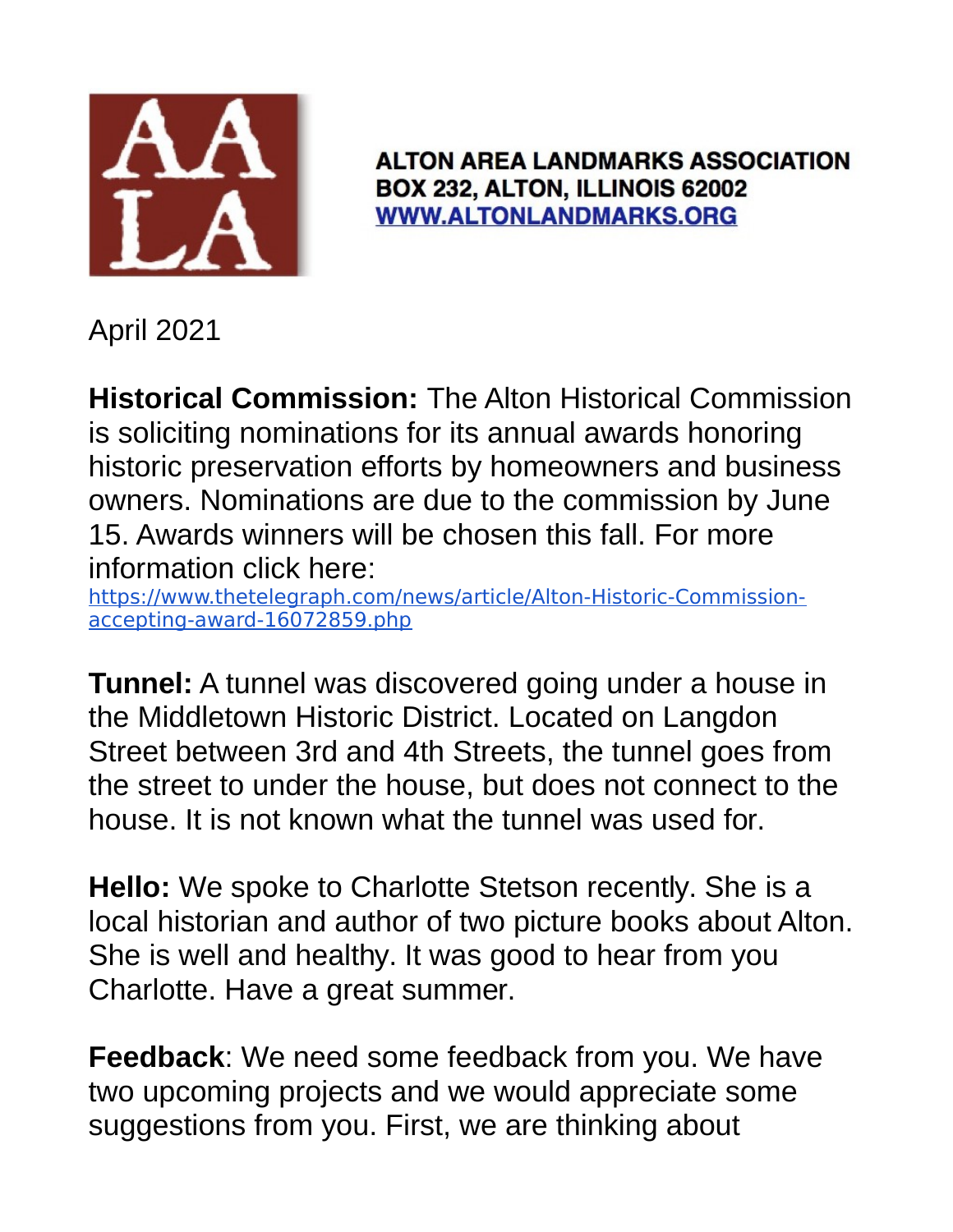

**ALTON AREA LANDMARKS ASSOCIATION** BOX 232, ALTON, ILLINOIS 62002 **WWW.ALTONLANDMARKS.ORG** 

April 2021

**Historical Commission:** The Alton Historical Commission is soliciting nominations for its annual awards honoring historic preservation efforts by homeowners and business owners. Nominations are due to the commission by June 15. Awards winners will be chosen this fall. For more information click here:

https://www.thetelegraph.com/news/article/Alton-Historic-Commissionaccepting-award-16072859.php

**Tunnel:** A tunnel was discovered going under a house in the Middletown Historic District. Located on Langdon Street between 3rd and 4th Streets, the tunnel goes from the street to under the house, but does not connect to the house. It is not known what the tunnel was used for.

**Hello:** We spoke to Charlotte Stetson recently. She is a local historian and author of two picture books about Alton. She is well and healthy. It was good to hear from you Charlotte. Have a great summer.

**Feedback**: We need some feedback from you. We have two upcoming projects and we would appreciate some suggestions from you. First, we are thinking about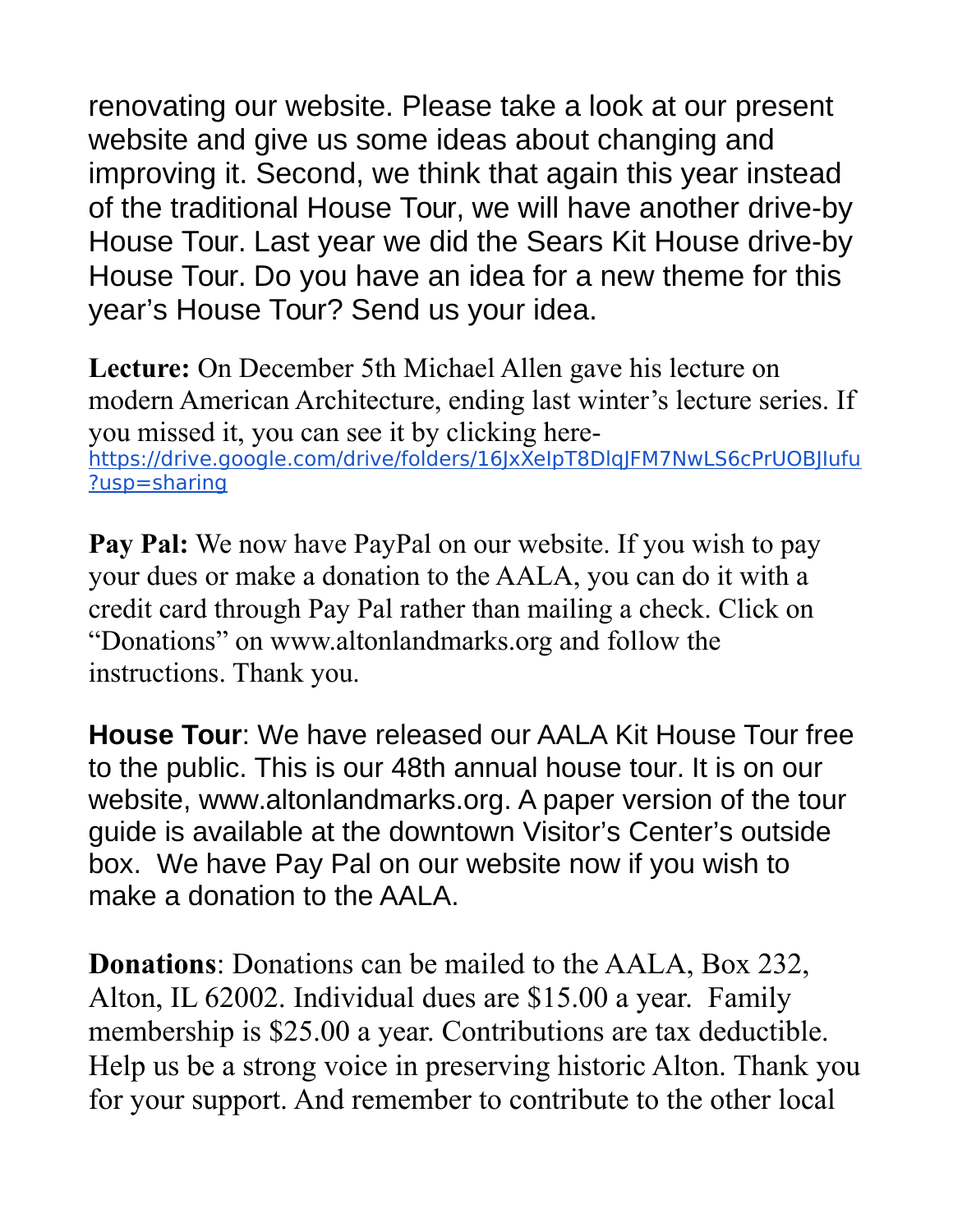renovating our website. Please take a look at our present website and give us some ideas about changing and improving it. Second, we think that again this year instead of the traditional House Tour, we will have another drive-by House Tour. Last year we did the Sears Kit House drive-by House Tour. Do you have an idea for a new theme for this year's House Tour? Send us your idea.

**Lecture:** On December 5th Michael Allen gave his lecture on modern American Architecture, ending last winter's lecture series. If you missed it, you can see it by clicking herehttps://drive.google.com/drive/folders/16JxXeIpT8DlqJFM7NwLS6cPrUOBJIufu ?usp=sharing

**Pay Pal:** We now have PayPal on our website. If you wish to pay your dues or make a donation to the AALA, you can do it with a credit card through Pay Pal rather than mailing a check. Click on "Donations" on www.altonlandmarks.org and follow the instructions. Thank you.

**House Tour**: We have released our AALA Kit House Tour free to the public. This is our 48th annual house tour. It is on our website, www.altonlandmarks.org. A paper version of the tour guide is available at the downtown Visitor's Center's outside box. We have Pay Pal on our website now if you wish to make a donation to the AALA.

**Donations**: Donations can be mailed to the AALA, Box 232, Alton, IL 62002. Individual dues are \$15.00 a year. Family membership is \$25.00 a year. Contributions are tax deductible. Help us be a strong voice in preserving historic Alton. Thank you for your support. And remember to contribute to the other local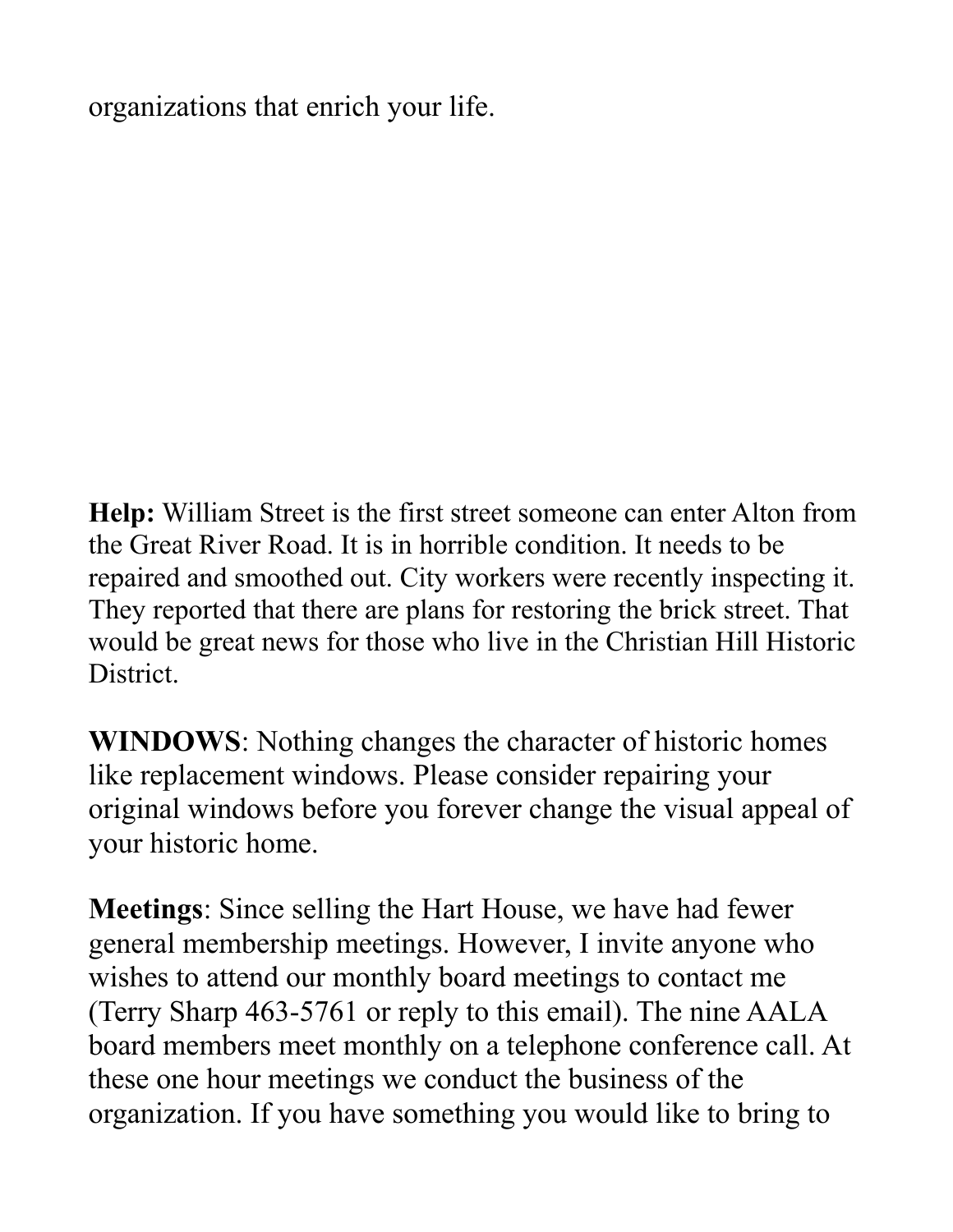organizations that enrich your life.

**Help:** William Street is the first street someone can enter Alton from the Great River Road. It is in horrible condition. It needs to be repaired and smoothed out. City workers were recently inspecting it. They reported that there are plans for restoring the brick street. That would be great news for those who live in the Christian Hill Historic District.

**WINDOWS**: Nothing changes the character of historic homes like replacement windows. Please consider repairing your original windows before you forever change the visual appeal of your historic home.

**Meetings**: Since selling the Hart House, we have had fewer general membership meetings. However, I invite anyone who wishes to attend our monthly board meetings to contact me (Terry Sharp 463-5761 or reply to this email). The nine AALA board members meet monthly on a telephone conference call. At these one hour meetings we conduct the business of the organization. If you have something you would like to bring to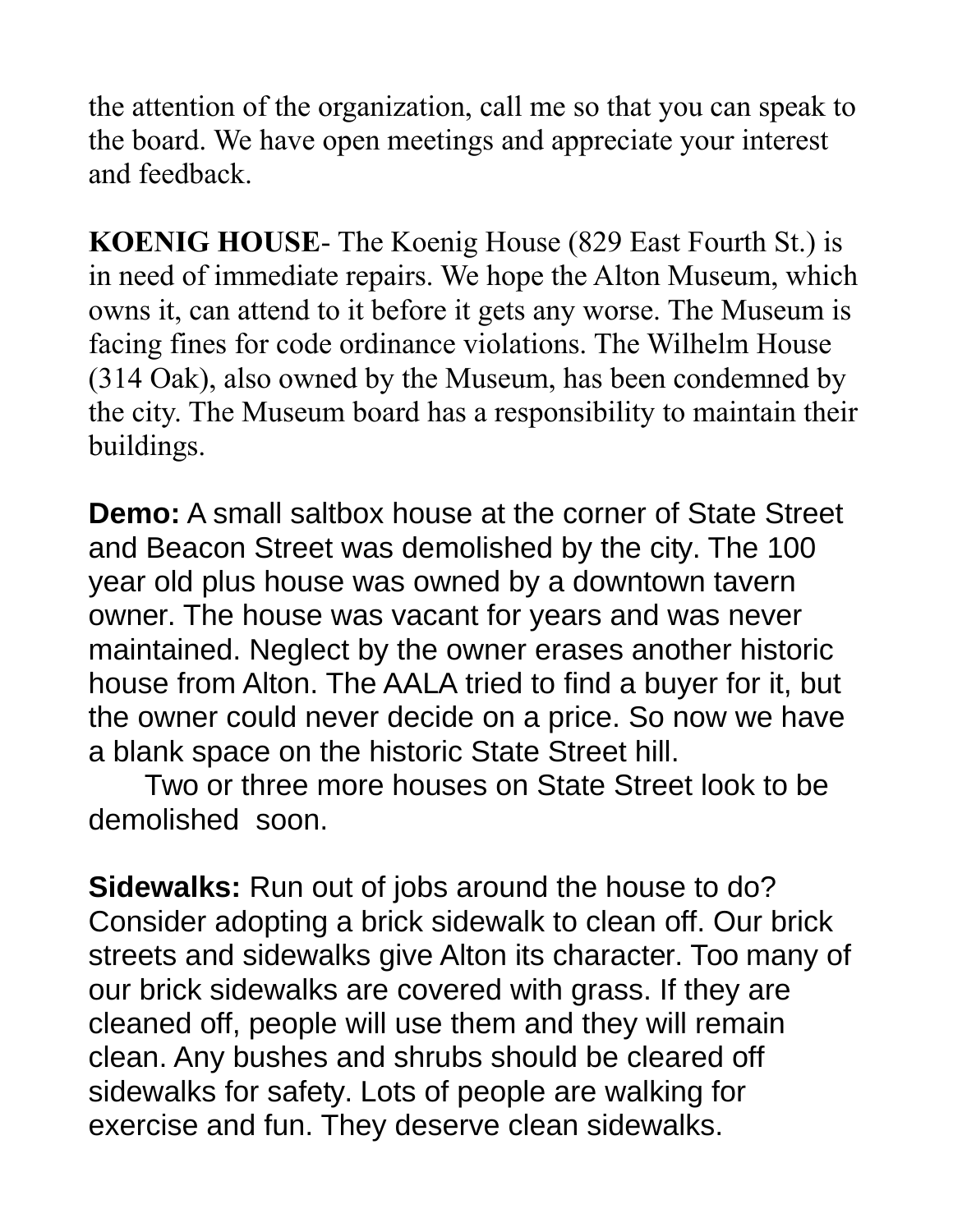the attention of the organization, call me so that you can speak to the board. We have open meetings and appreciate your interest and feedback.

**KOENIG HOUSE**- The Koenig House (829 East Fourth St.) is in need of immediate repairs. We hope the Alton Museum, which owns it, can attend to it before it gets any worse. The Museum is facing fines for code ordinance violations. The Wilhelm House (314 Oak), also owned by the Museum, has been condemned by the city. The Museum board has a responsibility to maintain their buildings.

**Demo:** A small saltbox house at the corner of State Street and Beacon Street was demolished by the city. The 100 year old plus house was owned by a downtown tavern owner. The house was vacant for years and was never maintained. Neglect by the owner erases another historic house from Alton. The AALA tried to find a buyer for it, but the owner could never decide on a price. So now we have a blank space on the historic State Street hill.

Two or three more houses on State Street look to be demolished soon.

**Sidewalks:** Run out of jobs around the house to do? Consider adopting a brick sidewalk to clean off. Our brick streets and sidewalks give Alton its character. Too many of our brick sidewalks are covered with grass. If they are cleaned off, people will use them and they will remain clean. Any bushes and shrubs should be cleared off sidewalks for safety. Lots of people are walking for exercise and fun. They deserve clean sidewalks.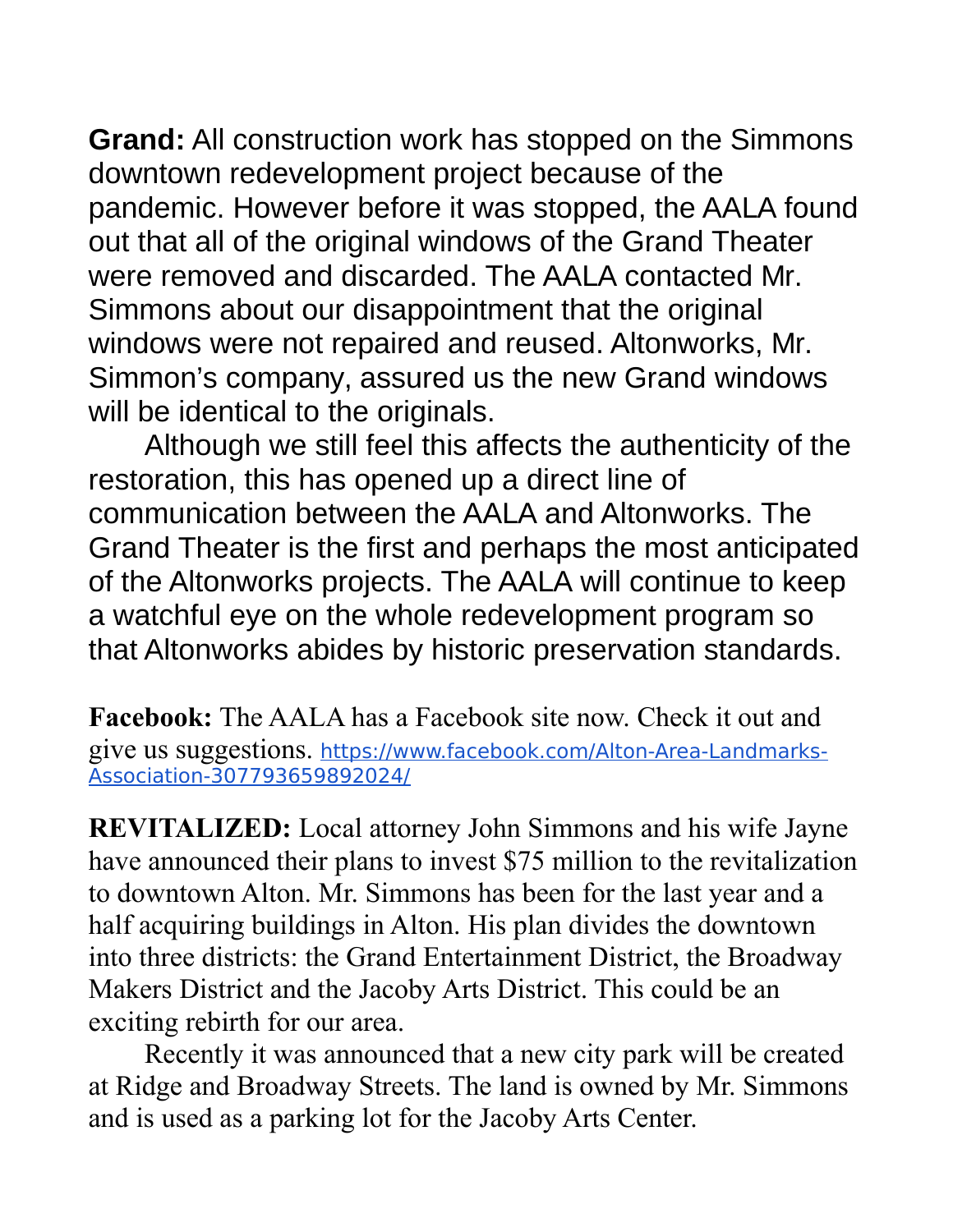**Grand:** All construction work has stopped on the Simmons downtown redevelopment project because of the pandemic. However before it was stopped, the AALA found out that all of the original windows of the Grand Theater were removed and discarded. The AALA contacted Mr. Simmons about our disappointment that the original windows were not repaired and reused. Altonworks, Mr. Simmon's company, assured us the new Grand windows will be identical to the originals.

Although we still feel this affects the authenticity of the restoration, this has opened up a direct line of communication between the AALA and Altonworks. The Grand Theater is the first and perhaps the most anticipated of the Altonworks projects. The AALA will continue to keep a watchful eye on the whole redevelopment program so that Altonworks abides by historic preservation standards.

**Facebook:** The AALA has a Facebook site now. Check it out and give us suggestions. https://www.facebook.com/Alton-Area-Landmarks-Association-307793659892024/

**REVITALIZED:** Local attorney John Simmons and his wife Jayne have announced their plans to invest \$75 million to the revitalization to downtown Alton. Mr. Simmons has been for the last year and a half acquiring buildings in Alton. His plan divides the downtown into three districts: the Grand Entertainment District, the Broadway Makers District and the Jacoby Arts District. This could be an exciting rebirth for our area.

Recently it was announced that a new city park will be created at Ridge and Broadway Streets. The land is owned by Mr. Simmons and is used as a parking lot for the Jacoby Arts Center.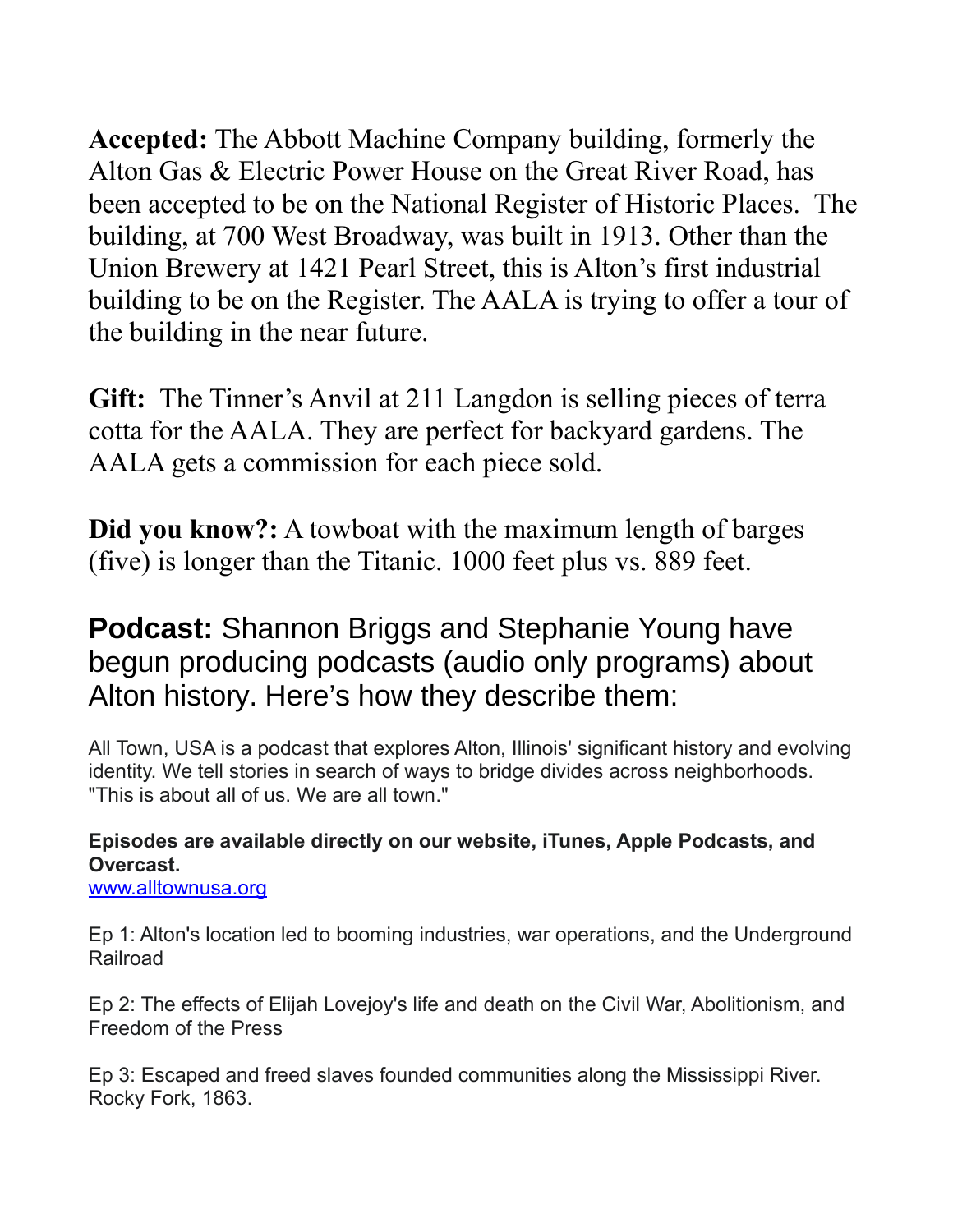**Accepted:** The Abbott Machine Company building, formerly the Alton Gas & Electric Power House on the Great River Road, has been accepted to be on the National Register of Historic Places. The building, at 700 West Broadway, was built in 1913. Other than the Union Brewery at 1421 Pearl Street, this is Alton's first industrial building to be on the Register. The AALA is trying to offer a tour of the building in the near future.

**Gift:** The Tinner's Anvil at 211 Langdon is selling pieces of terra cotta for the AALA. They are perfect for backyard gardens. The AALA gets a commission for each piece sold.

**Did you know?:** A towboat with the maximum length of barges (five) is longer than the Titanic. 1000 feet plus vs. 889 feet.

## **Podcast:** Shannon Briggs and Stephanie Young have begun producing podcasts (audio only programs) about Alton history. Here's how they describe them:

All Town, USA is a podcast that explores Alton, Illinois' significant history and evolving identity. We tell stories in search of ways to bridge divides across neighborhoods. "This is about all of us. We are all town."

## **Episodes are available directly on our website, iTunes, Apple Podcasts, and Overcast.**

[www.alltownusa.org](http://www.alltownusa.org/)

Ep 1: Alton's location led to booming industries, war operations, and the Underground **Railroad** 

Ep 2: The effects of Elijah Lovejoy's life and death on the Civil War, Abolitionism, and Freedom of the Press

Ep 3: Escaped and freed slaves founded communities along the Mississippi River. Rocky Fork, 1863.